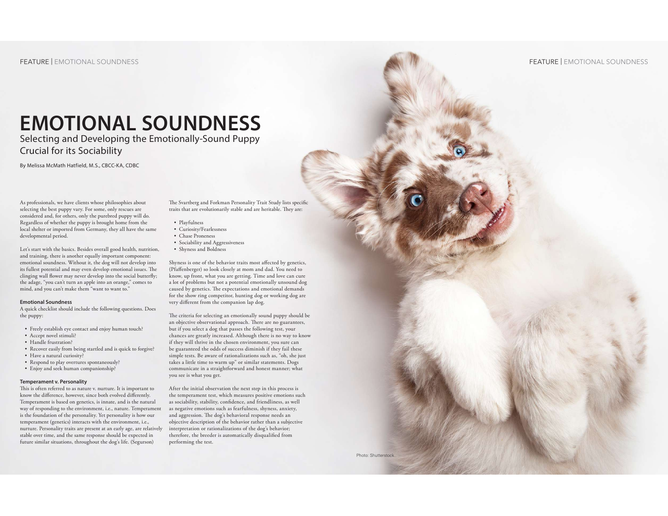## FEATURE | EMOTIONAL SOUNDNESS

The APDT Chronicle of the Dog Home

# **EMOTIONAL SOUNDNESS**

Selecting and Developing the Emotionally-Sound Puppy Crucial for its Sociability

By Melissa McMath Hatfield, M.S., CBCC-KA, CDBC

As professionals, we have clients whose philosophies about selecting the best puppy vary. For some, only rescues are considered and, for others, only the purebred puppy will do. Regardless of whether the puppy is brought home from the local shelter or imported from Germany, they all have the same developmental period.

Let's start with the basics. Besides overall good health, nutrition, and training, there is another equally important component: emotional soundness. Without it, the dog will not develop into its fullest potential and may even develop emotional issues. The clinging wall flower may never develop into the social butterfly; the adage, "you can't turn an apple into an orange," comes to mind, and you can't make them "want to want to."

#### **Emotional Soundness**

A quick checklist should include the following questions. Does the puppy:

- Freely establish eye contact and enjoy human touch?
- Accept novel stimuli?
- Handle frustration?
- Recover easily from being startled and is quick to forgive?
- Have a natural curiosity?
- Respond to play overtures spontaneously?
- Enjoy and seek human companionship?

#### **Temperament v. Personality**

This is often referred to as nature v. nurture. It is important to know the difference, however, since both evolved differently. Temperament is based on genetics, is innate, and is the natural way of responding to the environment, i.e., nature. Temperament is the foundation of the personality. Yet personality is how our temperament (genetics) interacts with the environment, i.e., nurture. Personality traits are present at an early age, are relatively interpretation or rationalizations of the dog's behavior; stable over time, and the same response should be expected in future similar situations, throughout the dog's life. (Segurson)

The Svartberg and Forkman Personality Trait Study lists specific traits that are evolutionarily stable and are heritable. They are:

- Playfulness
- Curiosity/Fearlessness • Chase Proneness
- 
- Sociability and Aggressiveness
- Shyness and Boldness

Shyness is one of the behavior traits most affected by genetics, (Pfaffenberger) so look closely at mom and dad. You need to know, up front, what you are getting. Time and love can cure a lot of problems but not a potential emotionally unsound dog caused by genetics. The expectations and emotional demands for the show ring competitor, hunting dog or working dog are very different from the companion lap dog.

The criteria for selecting an emotionally sound puppy should be an objective observational approach. There are no guarantees, but if you select a dog that passes the following test, your chances are greatly increased. Although there is no way to know if they will thrive in the chosen environment, you sure can be guaranteed the odds of success diminish if they fail these simple tests. Be aware of rationalizations such as, "oh, she just takes a little time to warm up" or similar statements. Dogs communicate in a straightforward and honest manner; what you see is what you get.

After the initial observation the next step in this process is the temperament test, which measures positive emotions such as sociability, stability, confidence, and friendliness, as well as negative emotions such as fearfulness, shyness, anxiety, and aggression. The dog's behavioral response needs an objective description of the behavior rather than a subjective therefore, the breeder is automatically disqualified from performing the test.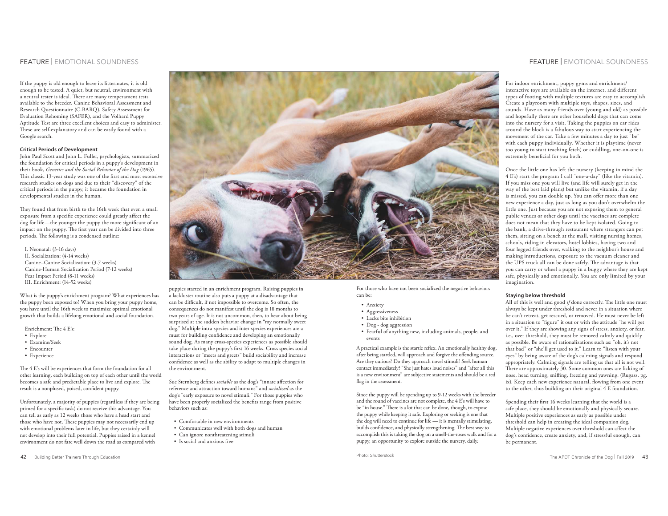## FEATURE | EMOTIONAL SOUNDNESS

If the puppy is old enough to leave its littermates, it is old enough to be tested. A quiet, but neutral, environment with a neutral tester is ideal. There are many temperament tests available to the breeder. Canine Behavioral Assessment and Research Questionnaire (C-BARQ), Safety Assessment for Evaluation Rehoming (SAFER), and the Volhard Puppy Aptitude Test are three excellent choices and easy to administer. These are self-explanatory and can be easily found with a Google search.

## **Critical Periods of Development**

John Paul Scott and John L. Fuller, psychologists, summarized the foundation for critical periods in a puppy's development in their book, *Genetics and the Social Behavior of the Dog* (1965). This classic 13-year study was one of the first and most extensive research studies on dogs and due to their "discovery" of the critical periods in the puppy, it became the foundation in developmental studies in the human.

They found that from birth to the 16th week that even a small exposure from a specific experience could greatly affect the dog for life—the younger the puppy the more significant of an impact on the puppy. The first year can be divided into three periods. The following is a condensed outline:

I. Neonatal: (3-16 days) II. Socialization: (4-14 weeks) Canine–Canine Socialization: (3-7 weeks) Canine-Human Socialization Period (7-12 weeks) Fear Impact Period (8-11 weeks) III. Enrichment: (14-52 weeks)

What is the puppy's enrichment program? What experiences has the puppy been exposed to? When you bring your puppy home, you have until the 16th week to maximize optimal emotional growth that builds a lifelong emotional and social foundation.

Enrichment: The 4 E's:

- Explore
- Examine/Seek
- Encounter
- Experience

The 4 E's will be experiences that form the foundation for all other learning, each building on top of each other until the world becomes a safe and predictable place to live and explore. The result is a nonplused, poised, confident puppy.

Unfortunately, a majority of puppies (regardless if they are being primed for a specific task) do not receive this advantage. You can tell as early as 12 weeks those who have a head start and those who have not. These puppies may not necessarily end up with emotional problems later in life, but they certainly will not develop into their full potential. Puppies raised in a kennel environment do not fare well down the road as compared with





puppies started in an enrichment program. Raising puppies in a lackluster routine also puts a puppy at a disadvantage that can be difficult, if not impossible to overcome. So often, the consequences do not manifest until the dog is 18 months to two years of age. It is not uncommon, then, to hear about being surprised at the sudden behavior change in "my normally sweet" dog." Multiple intra-species and inter-species experiences are a must for building confidence and developing an emotionally sound dog. As many cross-species experiences as possible should take place during the puppy's first 16 weeks. Cross species social interactions or "meets and greets" build sociability and increase confidence as well as the ability to adapt to multiple changes in the environment.

Sue Sternberg defines *sociable* as the dog's "innate affection for reference and attraction toward humans" and *socialized* as the dog's "early exposure to novel stimuli." For those puppies who have been properly socialized the benefits range from positive behaviors such as:

- Comfortable in new environments
- Communicates well with both dogs and human
- Can ignore nonthreatening stimuli
- Is social and anxious free

For those who have not been socialized the negative behaviors can be:

- Anxiety
- Aggressiveness
- Lacks bite inhibition
- Dog dog aggression

• Fearful of anything new, including animals, people, and events

A practical example is the startle reflex. An emotionally healthy dog, after being startled, will approach and forgive the offending source. Are they curious? Do they approach novel stimuli? Seek human contact immediately? "She just hates loud noises" and "after all this is a new environment" are subjective statements and should be a red flag in the assessment.

Since the puppy will be spending up to 9-12 weeks with the breeder and the round of vaccines are not complete, the 4 E's will have to be "in house." There is a lot that can be done, though, to expose the puppy while keeping it safe. Exploring or seeking is one that the dog will need to continue for life — it is mentally stimulating, builds confidence, and physically strengthening. The best way to accomplish this is taking the dog on a smell-the-roses walk and for a puppy, an opportunity to explore outside the nursery, daily.

Photo: Shutterstock

## FEATURE | EMOTIONAL SOUNDNESS

For indoor enrichment, puppy gyms and enrichment/ interactive toys are available on the internet, and different types of footing with multiple textures are easy to accomplish. Create a playroom with multiple toys, shapes, sizes, and sounds. Have as many friends over (young and old) as possible and hopefully there are other household dogs that can come into the nursery for a visit. Taking the puppies on car rides around the block is a fabulous way to start experiencing the movement of the car. Take a few minutes a day to just "be" with each puppy individually. Whether it is playtime (never too young to start teaching fetch) or cuddling, one-on-one is extremely beneficial for you both.

Once the little one has left the nursery (keeping in mind the 4 E's) start the program I call "one-a-day" (like the vitamin). If you miss one you will live (and life will surely get in the way of the best laid plans) but unlike the vitamin, if a day is missed, you can double up. You can offer more than one new experience a day, just as long as you don't overwhelm the little one. Just because you are not exposing them to general public venues or other dogs until the vaccines are complete does not mean that they have to be kept isolated. Going to the bank, a drive-through restaurant where strangers can pet them, sitting on a bench at the mall, visiting nursing homes, schools, riding in elevators, hotel lobbies, having two and four legged friends over, walking to the neighbor's house and making introductions, exposure to the vacuum cleaner and the UPS truck all can be done safely. The advantage is that you can carry or wheel a puppy in a buggy where they are kept safe, physically and emotionally. You are only limited by your imagination.

## **Staying below threshold**

All of this is well and good *if* done correctly. The little one must always be kept under threshold and never in a situation where he can't retreat, get rescued, or removed. He must never be left in a situation to "figure" it out or with the attitude "he will get over it." If they are showing any signs of stress, anxiety, or fear, i.e., over threshold, they must be removed calmly and quickly as possible. Be aware of rationalizations such as: "oh, it's not that bad" or "she'll get used to it." Learn to "listen with your eyes" by being aware of the dog's calming signals and respond appropriately. Calming signals are telling us that all is not well. There are approximately 30. Some common ones are licking of nose, head turning, sniffing, freezing and yawning. (Rugass, pg. ix). Keep each new experience natural, flowing from one event to the other, thus building on their original 4 E foundation.

Spending their first 16 weeks learning that the world is a safe place, they should be emotionally and physically secure. Multiple positive experiences as early as possible under threshold can help in creating the ideal companion dog. Multiple negative experiences over threshold can affect the dog's confidence, create anxiety, and, if stressful enough, can be permanent.